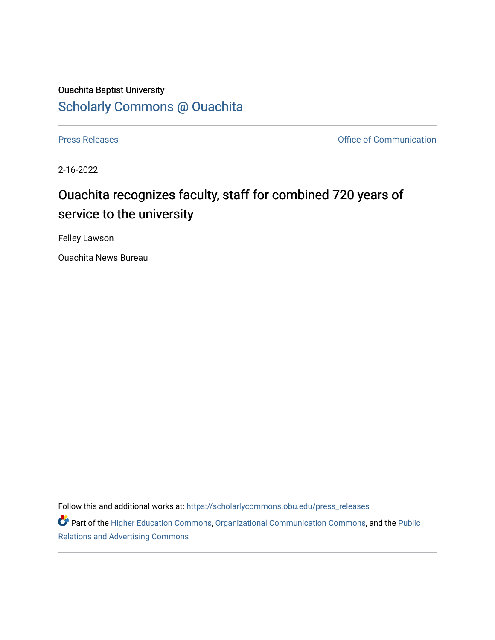# Ouachita Baptist University [Scholarly Commons @ Ouachita](https://scholarlycommons.obu.edu/)

[Press Releases](https://scholarlycommons.obu.edu/press_releases) **Press Releases Communication** 

2-16-2022

# Ouachita recognizes faculty, staff for combined 720 years of service to the university

Felley Lawson

Ouachita News Bureau

Follow this and additional works at: [https://scholarlycommons.obu.edu/press\\_releases](https://scholarlycommons.obu.edu/press_releases?utm_source=scholarlycommons.obu.edu%2Fpress_releases%2F1058&utm_medium=PDF&utm_campaign=PDFCoverPages)

Part of the [Higher Education Commons,](http://network.bepress.com/hgg/discipline/1245?utm_source=scholarlycommons.obu.edu%2Fpress_releases%2F1058&utm_medium=PDF&utm_campaign=PDFCoverPages) [Organizational Communication Commons,](http://network.bepress.com/hgg/discipline/335?utm_source=scholarlycommons.obu.edu%2Fpress_releases%2F1058&utm_medium=PDF&utm_campaign=PDFCoverPages) and the [Public](http://network.bepress.com/hgg/discipline/336?utm_source=scholarlycommons.obu.edu%2Fpress_releases%2F1058&utm_medium=PDF&utm_campaign=PDFCoverPages) [Relations and Advertising Commons](http://network.bepress.com/hgg/discipline/336?utm_source=scholarlycommons.obu.edu%2Fpress_releases%2F1058&utm_medium=PDF&utm_campaign=PDFCoverPages)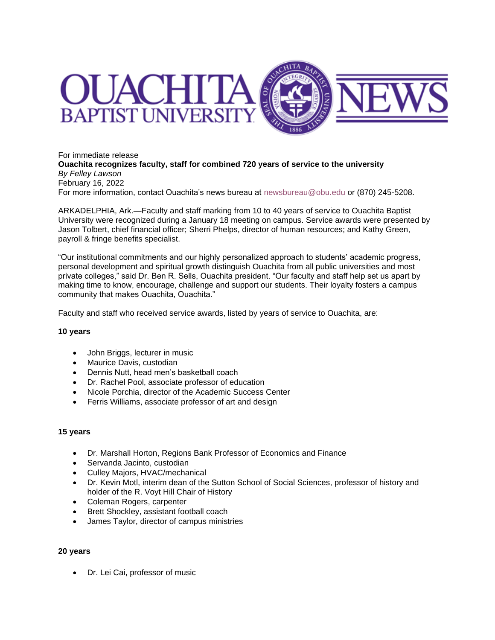

For immediate release **Ouachita recognizes faculty, staff for combined 720 years of service to the university** *By Felley Lawson* February 16, 2022 For more information, contact Ouachita's news bureau at [newsbureau@obu.edu](mailto:newsbureau@obu.edu) or (870) 245-5208.

ARKADELPHIA, Ark.—Faculty and staff marking from 10 to 40 years of service to Ouachita Baptist University were recognized during a January 18 meeting on campus. Service awards were presented by Jason Tolbert, chief financial officer; Sherri Phelps, director of human resources; and Kathy Green, payroll & fringe benefits specialist.

"Our institutional commitments and our highly personalized approach to students' academic progress, personal development and spiritual growth distinguish Ouachita from all public universities and most private colleges," said Dr. Ben R. Sells, Ouachita president. "Our faculty and staff help set us apart by making time to know, encourage, challenge and support our students. Their loyalty fosters a campus community that makes Ouachita, Ouachita."

Faculty and staff who received service awards, listed by years of service to Ouachita, are:

### **10 years**

- John Briggs, lecturer in music
- Maurice Davis, custodian
- Dennis Nutt, head men's basketball coach
- Dr. Rachel Pool, associate professor of education
- Nicole Porchia, director of the Academic Success Center
- Ferris Williams, associate professor of art and design

#### **15 years**

- Dr. Marshall Horton, Regions Bank Professor of Economics and Finance
- Servanda Jacinto, custodian
- Culley Majors, HVAC/mechanical
- Dr. Kevin Motl, interim dean of the Sutton School of Social Sciences, professor of history and holder of the R. Voyt Hill Chair of History
- Coleman Rogers, carpenter
- Brett Shockley, assistant football coach
- James Taylor, director of campus ministries

#### **20 years**

• Dr. Lei Cai, professor of music